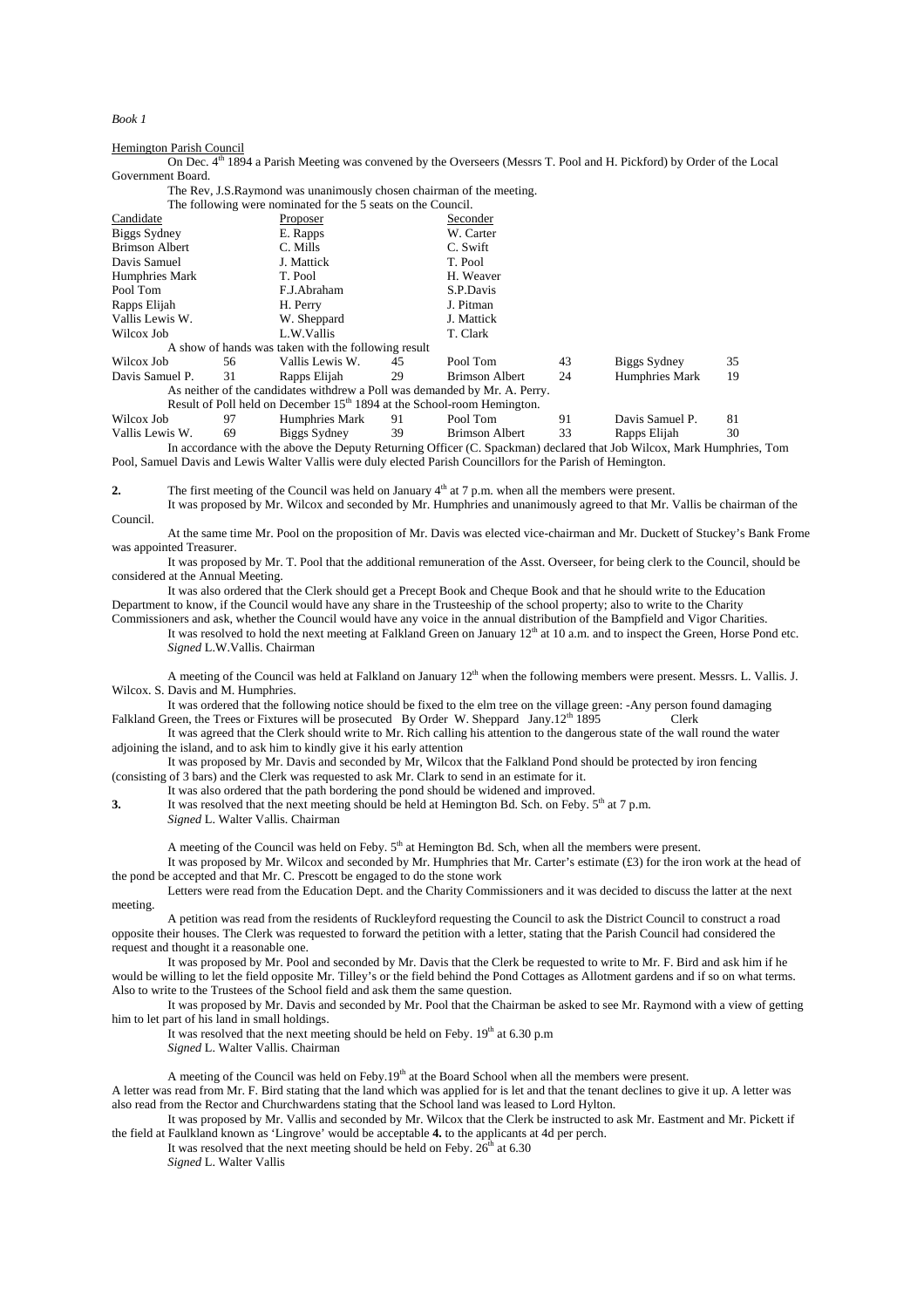*Book 1* 

## Hemington Parish Council

On Dec. 4<sup>th</sup> 1894 a Parish Meeting was convened by the Overseers (Messrs T. Pool and H. Pickford) by Order of the Local Government Board.

The Rev, J.S.Raymond was unanimously chosen chairman of the meeting.

|                                                                                     |    | The Rev, J.S.Raymond was unanimously chosen chairman of the meeting. |    |                       |    |                 |    |
|-------------------------------------------------------------------------------------|----|----------------------------------------------------------------------|----|-----------------------|----|-----------------|----|
| The following were nominated for the 5 seats on the Council.                        |    |                                                                      |    |                       |    |                 |    |
| Candidate                                                                           |    | Proposer                                                             |    | Seconder              |    |                 |    |
| Biggs Sydney                                                                        |    | E. Rapps                                                             |    | W. Carter             |    |                 |    |
| <b>Brimson Albert</b>                                                               |    | C. Mills                                                             |    | C. Swift              |    |                 |    |
| Davis Samuel                                                                        |    | J. Mattick                                                           |    | T. Pool               |    |                 |    |
| Humphries Mark                                                                      |    | T. Pool                                                              |    | H. Weaver             |    |                 |    |
| Pool Tom                                                                            |    | F.J.Abraham                                                          |    | S.P.Davis             |    |                 |    |
| Rapps Elijah                                                                        |    | H. Perry                                                             |    | J. Pitman             |    |                 |    |
| Vallis Lewis W.                                                                     |    | W. Sheppard                                                          |    | J. Mattick            |    |                 |    |
| Wilcox Job                                                                          |    | L.W.Vallis                                                           |    | T. Clark              |    |                 |    |
|                                                                                     |    | A show of hands was taken with the following result                  |    |                       |    |                 |    |
| Wilcox Job                                                                          | 56 | Vallis Lewis W.                                                      | 45 | Pool Tom              | 43 | Biggs Sydney    | 35 |
| Davis Samuel P.                                                                     | 31 | Rapps Elijah                                                         | 29 | <b>Brimson Albert</b> | 24 | Humphries Mark  | 19 |
| As neither of the candidates with drew a Poll was demanded by Mr. A. Perry.         |    |                                                                      |    |                       |    |                 |    |
| Result of Poll held on December 15 <sup>th</sup> 1894 at the School-room Hemington. |    |                                                                      |    |                       |    |                 |    |
| Wilcox Job                                                                          | 97 | Humphries Mark                                                       | 91 | Pool Tom              | 91 | Davis Samuel P. | 81 |
|                                                                                     |    |                                                                      |    |                       |    |                 |    |

Vallis Lewis W. 69 Biggs Sydney 39 Brimson Albert 33 Rapps Elijah 30 In accordance with the above the Deputy Returning Officer (C. Spackman) declared that Job Wilcox, Mark Humphries, Tom Pool, Samuel Davis and Lewis Walter Vallis were duly elected Parish Councillors for the Parish of Hemington.

**2. The first meeting of the Council was held on January**  $4<sup>th</sup>$  **at 7 p.m. when all the members were present.** 

Council.

At the same time Mr. Pool on the proposition of Mr. Davis was elected vice-chairman and Mr. Duckett of Stuckey's Bank Frome was appointed Treasurer.

It was proposed by Mr. Wilcox and seconded by Mr. Humphries and unanimously agreed to that Mr. Vallis be chairman of the

It was proposed by Mr. T. Pool that the additional remuneration of the Asst. Overseer, for being clerk to the Council, should be considered at the Annual Meeting.

It was also ordered that the Clerk should get a Precept Book and Cheque Book and that he should write to the Education Department to know, if the Council would have any share in the Trusteeship of the school property; also to write to the Charity

Commissioners and ask, whether the Council would have any voice in the annual distribution of the Bampfield and Vigor Charities. It was resolved to hold the next meeting at Falkland Green on January  $12<sup>th</sup>$  at 10 a.m. and to inspect the Green. Horse Pond etc. *Signed* L.W.Vallis. Chairman

A meeting of the Council was held at Falkland on January  $12<sup>th</sup>$  when the following members were present. Messrs. L. Vallis. J. Wilcox. S. Davis and M. Humphries.

It was ordered that the following notice should be fixed to the elm tree on the village green: -Any person found damaging Falkland Green, the Trees or Fixtures will be prosecuted By Order W. Sheppard Jany.12<sup>th</sup> 1895 Clerk

It was agreed that the Clerk should write to Mr. Rich calling his attention to the dangerous state of the wall round the water adjoining the island, and to ask him to kindly give it his early attention

It was proposed by Mr. Davis and seconded by Mr, Wilcox that the Falkland Pond should be protected by iron fencing (consisting of 3 bars) and the Clerk was requested to ask Mr. Clark to send in an estimate for it.

It was also ordered that the path bordering the pond should be widened and improved.

**3.** It was resolved that the next meeting should be held at Hemington Bd. Sch. on Feby. 5<sup>th</sup> at 7 p.m. *Signed* L. Walter Vallis. Chairman

A meeting of the Council was held on Feby.  $5<sup>th</sup>$  at Hemington Bd. Sch, when all the members were present.

It was proposed by Mr. Wilcox and seconded by Mr. Humphries that Mr. Carter's estimate (£3) for the iron work at the head of the pond be accepted and that Mr. C. Prescott be engaged to do the stone work

Letters were read from the Education Dept. and the Charity Commissioners and it was decided to discuss the latter at the next meeting.

A petition was read from the residents of Ruckleyford requesting the Council to ask the District Council to construct a road opposite their houses. The Clerk was requested to forward the petition with a letter, stating that the Parish Council had considered the request and thought it a reasonable one.

It was proposed by Mr. Pool and seconded by Mr. Davis that the Clerk be requested to write to Mr. F. Bird and ask him if he would be willing to let the field opposite Mr. Tilley's or the field behind the Pond Cottages as Allotment gardens and if so on what terms. Also to write to the Trustees of the School field and ask them the same question.

It was proposed by Mr. Davis and seconded by Mr. Pool that the Chairman be asked to see Mr. Raymond with a view of getting him to let part of his land in small holdings.

It was resolved that the next meeting should be held on Feby.  $19<sup>th</sup>$  at 6.30 p.m *Signed* L. Walter Vallis. Chairman

A meeting of the Council was held on Feby.19<sup>th</sup> at the Board School when all the members were present.

A letter was read from Mr. F. Bird stating that the land which was applied for is let and that the tenant declines to give it up. A letter was also read from the Rector and Churchwardens stating that the School land was leased to Lord Hylton.

It was proposed by Mr. Vallis and seconded by Mr. Wilcox that the Clerk be instructed to ask Mr. Eastment and Mr. Pickett if the field at Faulkland known as 'Lingrove' would be acceptable **4.** to the applicants at 4d per perch.

It was resolved that the next meeting should be held on Feby.  $26<sup>th</sup>$  at 6.30 *Signed* L. Walter Vallis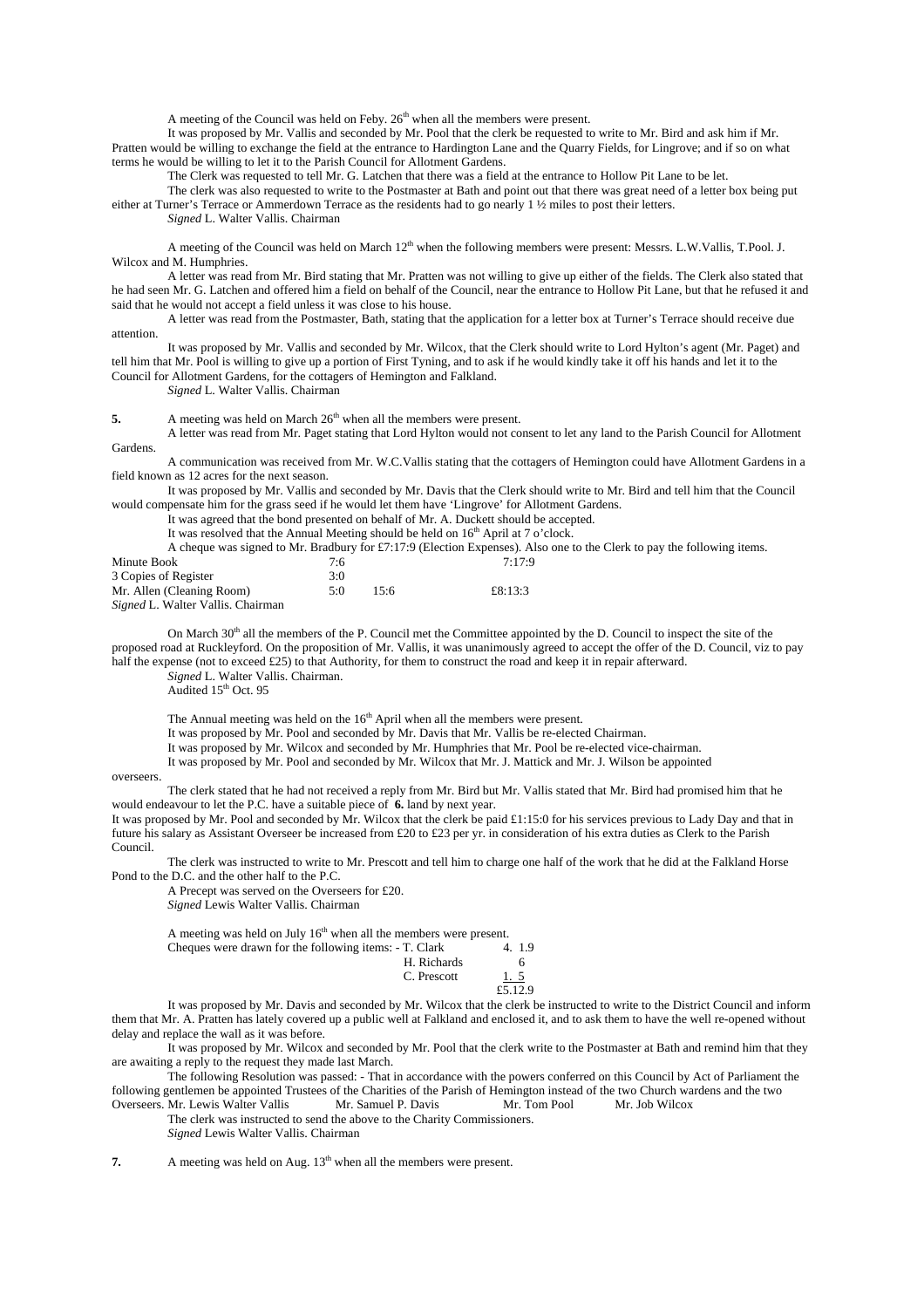A meeting of the Council was held on Feby.  $26<sup>th</sup>$  when all the members were present.

It was proposed by Mr. Vallis and seconded by Mr. Pool that the clerk be requested to write to Mr. Bird and ask him if Mr. Pratten would be willing to exchange the field at the entrance to Hardington Lane and the Quarry Fields, for Lingrove; and if so on what terms he would be willing to let it to the Parish Council for Allotment Gardens.

The Clerk was requested to tell Mr. G. Latchen that there was a field at the entrance to Hollow Pit Lane to be let.

The clerk was also requested to write to the Postmaster at Bath and point out that there was great need of a letter box being put either at Turner's Terrace or Ammerdown Terrace as the residents had to go nearly 1 ½ miles to post their letters.

*Signed* L. Walter Vallis. Chairman

A meeting of the Council was held on March 12<sup>th</sup> when the following members were present: Messrs. L.W.Vallis, T.Pool. J. Wilcox and M. Humphries.

A letter was read from Mr. Bird stating that Mr. Pratten was not willing to give up either of the fields. The Clerk also stated that he had seen Mr. G. Latchen and offered him a field on behalf of the Council, near the entrance to Hollow Pit Lane, but that he refused it and said that he would not accept a field unless it was close to his house.

A letter was read from the Postmaster, Bath, stating that the application for a letter box at Turner's Terrace should receive due attention.

It was proposed by Mr. Vallis and seconded by Mr. Wilcox, that the Clerk should write to Lord Hylton's agent (Mr. Paget) and tell him that Mr. Pool is willing to give up a portion of First Tyning, and to ask if he would kindly take it off his hands and let it to the Council for Allotment Gardens, for the cottagers of Hemington and Falkland.

*Signed* L. Walter Vallis. Chairman

**5.** A meeting was held on March 26<sup>th</sup> when all the members were present.

A letter was read from Mr. Paget stating that Lord Hylton would not consent to let any land to the Parish Council for Allotment Gardens.

A communication was received from Mr. W.C.Vallis stating that the cottagers of Hemington could have Allotment Gardens in a field known as 12 acres for the next season.

It was proposed by Mr. Vallis and seconded by Mr. Davis that the Clerk should write to Mr. Bird and tell him that the Council would compensate him for the grass seed if he would let them have 'Lingrove' for Allotment Gardens.

It was agreed that the bond presented on behalf of Mr. A. Duckett should be accepted.

It was resolved that the Annual Meeting should be held on 16<sup>th</sup> April at 7 o'clock.

A cheque was signed to Mr. Bradbury for £7:17:9 (Election Expenses). Also one to the Clerk to pay the following items. Minute Book 7:6 7:17:9 3 Copies of Register 3:0<br>Mr. Allen (Cleaning Room) 5:0 Mr. Allen (Cleaning Room) 5:0 15:6 £8:13:3

*Signed* L. Walter Vallis. Chairman

On March  $30<sup>th</sup>$  all the members of the P. Council met the Committee appointed by the D. Council to inspect the site of the proposed road at Ruckleyford. On the proposition of Mr. Vallis, it was unanimously agreed to accept the offer of the D. Council, viz to pay half the expense (not to exceed £25) to that Authority, for them to construct the road and keep it in repair afterward.

*Signed* L. Walter Vallis. Chairman.

Audited 15<sup>th</sup> Oct. 95

The Annual meeting was held on the 16<sup>th</sup> April when all the members were present.

It was proposed by Mr. Pool and seconded by Mr. Davis that Mr. Vallis be re-elected Chairman.

It was proposed by Mr. Wilcox and seconded by Mr. Humphries that Mr. Pool be re-elected vice-chairman.

It was proposed by Mr. Pool and seconded by Mr. Wilcox that Mr. J. Mattick and Mr. J. Wilson be appointed

overseers.

The clerk stated that he had not received a reply from Mr. Bird but Mr. Vallis stated that Mr. Bird had promised him that he would endeavour to let the P.C. have a suitable piece of **6.** land by next year.

It was proposed by Mr. Pool and seconded by Mr. Wilcox that the clerk be paid £1:15:0 for his services previous to Lady Day and that in future his salary as Assistant Overseer be increased from £20 to £23 per yr. in consideration of his extra duties as Clerk to the Parish Council.

The clerk was instructed to write to Mr. Prescott and tell him to charge one half of the work that he did at the Falkland Horse Pond to the D.C. and the other half to the P.C.

A Precept was served on the Overseers for £20. *Signed* Lewis Walter Vallis. Chairman

A meeting was held on July  $16<sup>th</sup>$  when all the members were present.<br>Cheques were drawn for the following items:  $\overline{X}$  Clark  $\overline{X}$  1.9 Cheques were drawn for the following items:  $-$  T. Clark H. Ric

|  |             | .          |
|--|-------------|------------|
|  | H. Richards |            |
|  | C. Prescott | <u>1.5</u> |
|  |             | £5.12.9    |
|  |             |            |

It was proposed by Mr. Davis and seconded by Mr. Wilcox that the clerk be instructed to write to the District Council and inform them that Mr. A. Pratten has lately covered up a public well at Falkland and enclosed it, and to ask them to have the well re-opened without delay and replace the wall as it was before.

It was proposed by Mr. Wilcox and seconded by Mr. Pool that the clerk write to the Postmaster at Bath and remind him that they are awaiting a reply to the request they made last March.

The following Resolution was passed: - That in accordance with the powers conferred on this Council by Act of Parliament the following gentlemen be appointed Trustees of the Charities of the Parish of Hemington instead of the two Church wardens and the two Overseers. Mr. Lewis Walter Vallis Mr. Samuel P. Davis Mr. Tom Pool Mr. Job Wilcox Overseers. Mr. Lewis Walter Vallis

The clerk was instructed to send the above to the Charity Commissioners. *Signed* Lewis Walter Vallis. Chairman

**7.** A meeting was held on Aug. 13<sup>th</sup> when all the members were present.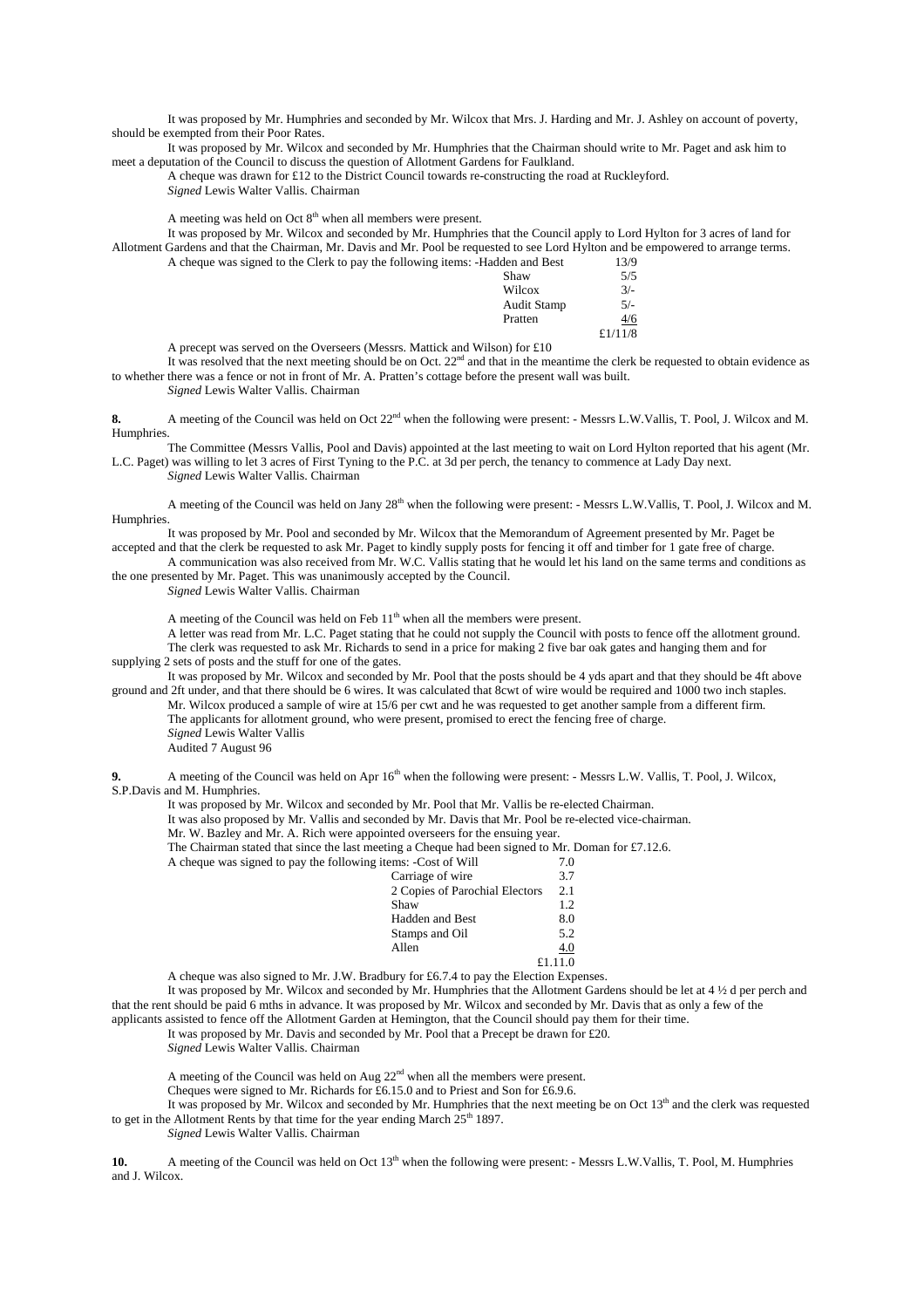It was proposed by Mr. Humphries and seconded by Mr. Wilcox that Mrs. J. Harding and Mr. J. Ashley on account of poverty, should be exempted from their Poor Rates.

It was proposed by Mr. Wilcox and seconded by Mr. Humphries that the Chairman should write to Mr. Paget and ask him to meet a deputation of the Council to discuss the question of Allotment Gardens for Faulkland.

A cheque was drawn for £12 to the District Council towards re-constructing the road at Ruckleyford. *Signed* Lewis Walter Vallis. Chairman

A meeting was held on Oct  $8<sup>th</sup>$  when all members were present.

It was proposed by Mr. Wilcox and seconded by Mr. Humphries that the Council apply to Lord Hylton for 3 acres of land for Allotment Gardens and that the Chairman, Mr. Davis and Mr. Pool be requested to see Lord Hylton and be empowered to arrange terms. A cheque was signed to the Clerk to pay the following items: -Hadden

| A cheque was signed to the Clerk to pay the following items: -Hadden and Best | 13/9       |
|-------------------------------------------------------------------------------|------------|
| Shaw                                                                          | 5/5        |
| Wilcox                                                                        | $3/-$      |
| <b>Audit Stamp</b>                                                            | $5/-$      |
| Pratten                                                                       | 4/6        |
|                                                                               | £ $1/11/8$ |

A precept was served on the Overseers (Messrs. Mattick and Wilson) for £10

It was resolved that the next meeting should be on Oct.  $22<sup>nd</sup>$  and that in the meantime the clerk be requested to obtain evidence as to whether there was a fence or not in front of Mr. A. Pratten's cottage before the present wall was built.

*Signed* Lewis Walter Vallis. Chairman

8. A meeting of the Council was held on Oct  $22<sup>nd</sup>$  when the following were present: - Messrs L.W.Vallis, T. Pool, J. Wilcox and M. Humphries.

The Committee (Messrs Vallis, Pool and Davis) appointed at the last meeting to wait on Lord Hylton reported that his agent (Mr. L.C. Paget) was willing to let 3 acres of First Tyning to the P.C. at 3d per perch, the tenancy to commence at Lady Day next.

*Signed* Lewis Walter Vallis. Chairman

A meeting of the Council was held on Jany 28<sup>th</sup> when the following were present: - Messrs L.W.Vallis, T. Pool, J. Wilcox and M. Humphries.

It was proposed by Mr. Pool and seconded by Mr. Wilcox that the Memorandum of Agreement presented by Mr. Paget be

accepted and that the clerk be requested to ask Mr. Paget to kindly supply posts for fencing it off and timber for 1 gate free of charge.

A communication was also received from Mr. W.C. Vallis stating that he would let his land on the same terms and conditions as the one presented by Mr. Paget. This was unanimously accepted by the Council.

*Signed* Lewis Walter Vallis. Chairman

A meeting of the Council was held on Feb 11<sup>th</sup> when all the members were present.

A letter was read from Mr. L.C. Paget stating that he could not supply the Council with posts to fence off the allotment ground. The clerk was requested to ask Mr. Richards to send in a price for making 2 five bar oak gates and hanging them and for supplying 2 sets of posts and the stuff for one of the gates.

It was proposed by Mr. Wilcox and seconded by Mr. Pool that the posts should be 4 yds apart and that they should be 4ft above ground and 2ft under, and that there should be 6 wires. It was calculated that 8cwt of wire would be required and 1000 two inch staples.

Mr. Wilcox produced a sample of wire at 15/6 per cwt and he was requested to get another sample from a different firm. The applicants for allotment ground, who were present, promised to erect the fencing free of charge. *Signed* Lewis Walter Vallis

Audited 7 August 96

**9.** A meeting of the Council was held on Apr 16<sup>th</sup> when the following were present: - Messrs L.W. Vallis, T. Pool, J. Wilcox, S.P.Davis and M. Humphries.

It was proposed by Mr. Wilcox and seconded by Mr. Pool that Mr. Vallis be re-elected Chairman.

It was also proposed by Mr. Vallis and seconded by Mr. Davis that Mr. Pool be re-elected vice-chairman.

Mr. W. Bazley and Mr. A. Rich were appointed overseers for the ensuing year.

The Chairman stated that since the last meeting a Cheque had been signed to Mr. Doman for £7.12.6.

A cheque was signed to pay the following ite

| A cheque was signed to pay the following fields: -Cost of will | 1.0     |
|----------------------------------------------------------------|---------|
| Carriage of wire                                               | 3.7     |
| 2 Copies of Parochial Electors                                 | 2.1     |
| Shaw                                                           | 1.2     |
| Hadden and Best                                                | 8.0     |
| Stamps and Oil                                                 | 5.2     |
| Allen                                                          | 4.0     |
|                                                                | £1.11.0 |
|                                                                |         |

A cheque was also signed to Mr. J.W. Bradbury for £6.7.4 to pay the Election Expenses.

It was proposed by Mr. Wilcox and seconded by Mr. Humphries that the Allotment Gardens should be let at 4 ½ d per perch and that the rent should be paid 6 mths in advance. It was proposed by Mr. Wilcox and seconded by Mr. Davis that as only a few of the applicants assisted to fence off the Allotment Garden at Hemington, that the Council should pay them for their time.

It was proposed by Mr. Davis and seconded by Mr. Pool that a Precept be drawn for £20.

*Signed* Lewis Walter Vallis. Chairman

A meeting of the Council was held on Aug 22nd when all the members were present.

Cheques were signed to Mr. Richards for £6.15.0 and to Priest and Son for £6.9.6.

It was proposed by Mr. Wilcox and seconded by Mr. Humphries that the next meeting be on Oct  $13<sup>th</sup>$  and the clerk was requested to get in the Allotment Rents by that time for the year ending March  $25<sup>th</sup> 1897$ .

*Signed* Lewis Walter Vallis. Chairman

**10.** A meeting of the Council was held on Oct 13<sup>th</sup> when the following were present: - Messrs L.W.Vallis, T. Pool, M. Humphries and J. Wilcox.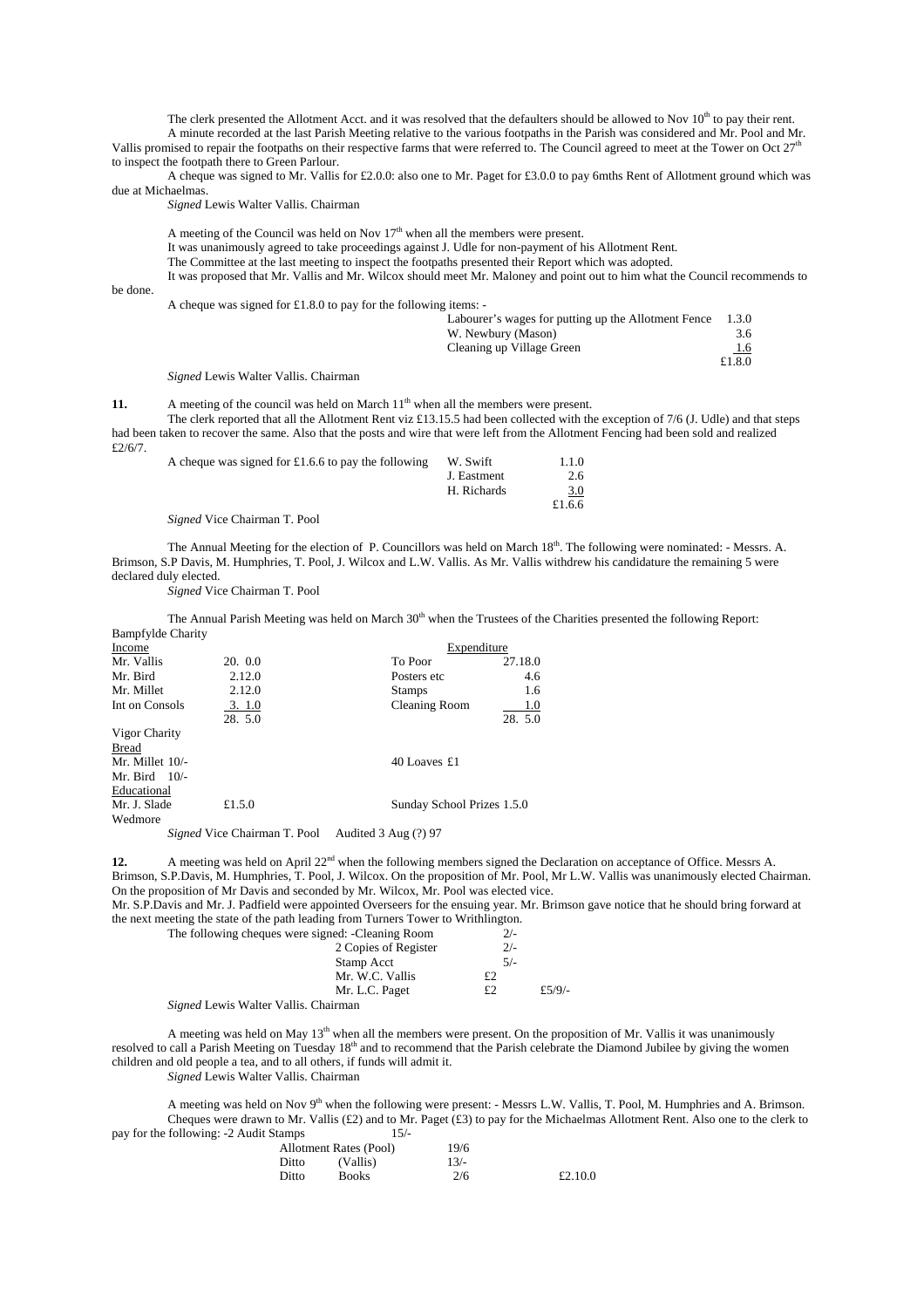The clerk presented the Allotment Acct. and it was resolved that the defaulters should be allowed to Nov  $10<sup>th</sup>$  to pay their rent. A minute recorded at the last Parish Meeting relative to the various footpaths in the Parish was considered and Mr. Pool and Mr. Vallis promised to repair the footpaths on their respective farms that were referred to. The Council agreed to meet at the Tower on Oct 27<sup>th</sup> to inspect the footpath there to Green Parlour.

A cheque was signed to Mr. Vallis for £2.0.0: also one to Mr. Paget for £3.0.0 to pay 6mths Rent of Allotment ground which was due at Michaelmas.

*Signed* Lewis Walter Vallis. Chairman

A meeting of the Council was held on Nov 17<sup>th</sup> when all the members were present.

It was unanimously agreed to take proceedings against J. Udle for non-payment of his Allotment Rent.

The Committee at the last meeting to inspect the footpaths presented their Report which was adopted.

It was proposed that Mr. Vallis and Mr. Wilcox should meet Mr. Maloney and point out to him what the Council recommends to

be done.

A cheque was signed for £1.8.0 to pay for the following items: -

|  |  | Labourer's wages for putting up the Allotment Fence | 1.3.0  |
|--|--|-----------------------------------------------------|--------|
|  |  | W. Newbury (Mason)                                  | 3.6    |
|  |  | Cleaning up Village Green                           | 1.6    |
|  |  |                                                     | £1.8.0 |

*Signed* Lewis Walter Vallis. Chairman

**11.** A meeting of the council was held on March 11<sup>th</sup> when all the members were present.

The clerk reported that all the Allotment Rent viz £13.15.5 had been collected with the exception of 7/6 (J. Udle) and that steps had been taken to recover the same. Also that the posts and wire that were left from the Allotment Fencing had been sold and realized £2/6/7.

| A cheque was signed for £1.6.6 to pay the following | W. Swift    | 1.1.0  |
|-----------------------------------------------------|-------------|--------|
|                                                     | J. Eastment | 2.6    |
|                                                     | H. Richards | 3.0    |
|                                                     |             | £1.6.6 |

*Signed* Vice Chairman T. Pool

The Annual Meeting for the election of P. Councillors was held on March  $18<sup>th</sup>$ . The following were nominated: - Messrs. A. Brimson, S.P Davis, M. Humphries, T. Pool, J. Wilcox and L.W. Vallis. As Mr. Vallis withdrew his candidature the remaining 5 were declared duly elected.

*Signed* Vice Chairman T. Pool

The Annual Parish Meeting was held on March  $30<sup>th</sup>$  when the Trustees of the Charities presented the following Report: Bampfylde Charity

| Income          |                                                                                                         | Expenditure                |         |
|-----------------|---------------------------------------------------------------------------------------------------------|----------------------------|---------|
| Mr. Vallis      | 20.00                                                                                                   | To Poor                    | 27.18.0 |
| Mr. Bird        | 2.12.0                                                                                                  | Posters etc.               | 4.6     |
| Mr. Millet      | 2.12.0                                                                                                  | <b>Stamps</b>              | 1.6     |
| Int on Consols  | 3.1.0                                                                                                   | Cleaning Room              | 1.0     |
|                 | 28. 5.0                                                                                                 |                            | 28. 5.0 |
| Vigor Charity   |                                                                                                         |                            |         |
| Bread           |                                                                                                         |                            |         |
| Mr. Millet 10/- |                                                                                                         | 40 Loaves £1               |         |
| Mr. Bird $10/-$ |                                                                                                         |                            |         |
| Educational     |                                                                                                         |                            |         |
| Mr. J. Slade    | £1.5.0                                                                                                  | Sunday School Prizes 1.5.0 |         |
| Wedmore         |                                                                                                         |                            |         |
|                 | $C_1, \ldots, I M$ $C_2, C_3, \ldots, C_n$ $T, D_1, I, A_2, I, A_3, I, A_4, \ldots, (0, 0, 0, 0, 0, 0)$ |                            |         |

*Signed* Vice Chairman T. Pool Audited 3 Aug (?) 97

**12.** A meeting was held on April 22<sup>nd</sup> when the following members signed the Declaration on acceptance of Office. Messrs A.

Brimson, S.P.Davis, M. Humphries, T. Pool, J. Wilcox. On the proposition of Mr. Pool, Mr L.W. Vallis was unanimously elected Chairman. On the proposition of Mr Davis and seconded by Mr. Wilcox, Mr. Pool was elected vice.

Mr. S.P.Davis and Mr. J. Padfield were appointed Overseers for the ensuing year. Mr. Brimson gave notice that he should bring forward at the next meeting the state of the path leading from Turners Tower to Writhlington.

|                                                                                             | The following cheques were signed: -Cleaning Room | $2/-$ |        |
|---------------------------------------------------------------------------------------------|---------------------------------------------------|-------|--------|
|                                                                                             | 2 Copies of Register                              | $2/-$ |        |
|                                                                                             | Stamp Acct                                        | $5/-$ |        |
|                                                                                             | Mr. W.C. Vallis                                   |       |        |
|                                                                                             | Mr. L.C. Paget                                    | £2    | £5/9/- |
| $C_1, \ldots, T$ , $T_1, \ldots, T_{n-1}$ , $T_2, \ldots, T_{n-1}$ , $C_1, \ldots, C_{n-1}$ |                                                   |       |        |

*Signed* Lewis Walter Vallis. Chairman

A meeting was held on May  $13<sup>th</sup>$  when all the members were present. On the proposition of Mr. Vallis it was unanimously resolved to call a Parish Meeting on Tuesday 18<sup>th</sup> and to recommend that the Parish celebrate the Diamond Jubilee by giving the women children and old people a tea, and to all others, if funds will admit it.

*Signed* Lewis Walter Vallis. Chairman

A meeting was held on Nov 9<sup>th</sup> when the following were present: - Messrs L.W. Vallis, T. Pool, M. Humphries and A. Brimson. Cheques were drawn to Mr. Vallis (£2) and to Mr. Paget (£3) to pay for the Michaelmas Allotment Rent. Also one to the clerk to pay for the following: -2 Audit Stamps 15/-

|       | Allotment Rates (Pool) | 19/6   |         |
|-------|------------------------|--------|---------|
| Ditto | (Vallis)               | $13/-$ |         |
| Ditto | <b>Books</b>           | 2/6    | £2.10.0 |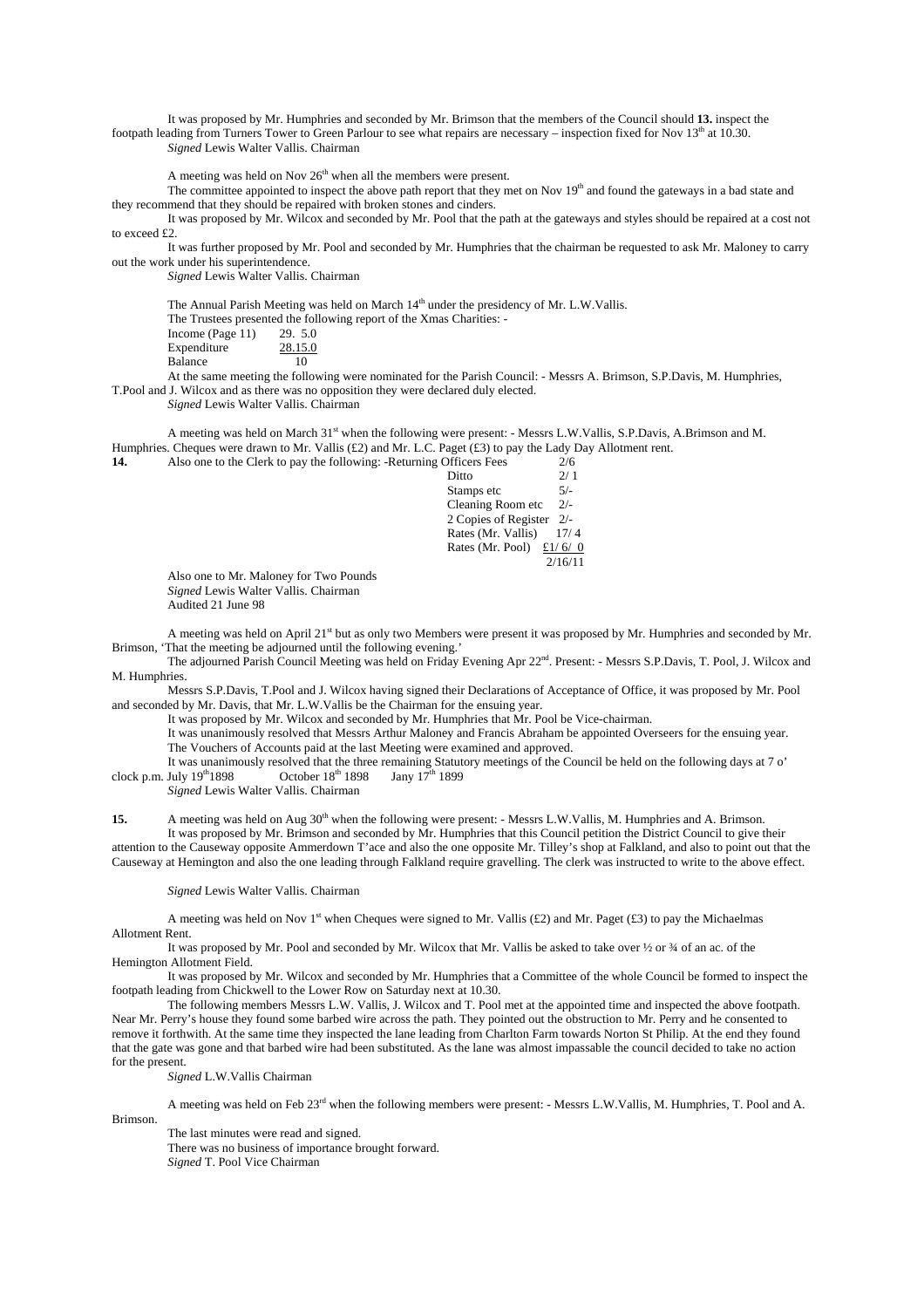It was proposed by Mr. Humphries and seconded by Mr. Brimson that the members of the Council should **13.** inspect the footpath leading from Turners Tower to Green Parlour to see what repairs are necessary – inspection fixed for Nov  $13<sup>th</sup>$  at 10.30. *Signed* Lewis Walter Vallis. Chairman

A meeting was held on Nov  $26<sup>th</sup>$  when all the members were present.

The committee appointed to inspect the above path report that they met on Nov  $19<sup>th</sup>$  and found the gateways in a bad state and they recommend that they should be repaired with broken stones and cinders.

It was proposed by Mr. Wilcox and seconded by Mr. Pool that the path at the gateways and styles should be repaired at a cost not to exceed £2.

It was further proposed by Mr. Pool and seconded by Mr. Humphries that the chairman be requested to ask Mr. Maloney to carry out the work under his superintendence.

*Signed* Lewis Walter Vallis. Chairman

The Annual Parish Meeting was held on March 14<sup>th</sup> under the presidency of Mr. L.W.Vallis.

|                     | The Trustees presented the following report of the Xmas Charities: - |
|---------------------|----------------------------------------------------------------------|
| Income (Page $11$ ) | 29. 5.0                                                              |
| Expenditure         | 28.15.0                                                              |
| Balance             | 10                                                                   |

At the same meeting the following were nominated for the Parish Council: - Messrs A. Brimson, S.P.Davis, M. Humphries, T.Pool and J. Wilcox and as there was no opposition they were declared duly elected.

*Signed* Lewis Walter Vallis. Chairman

A meeting was held on March 31st when the following were present: - Messrs L.W.Vallis, S.P.Davis, A.Brimson and M. Humphries. Cheques were drawn to Mr. Vallis (£2) and Mr. L.C. Paget (£3) to pay the Lady Day Allotment rent. **14.** Also one to the Clerk to pay the **following** 

| 14. | Also one to the Clerk to pay the following: -Returning Officers Fees | 2/0   |  |
|-----|----------------------------------------------------------------------|-------|--|
|     | Ditto                                                                | 2/1   |  |
|     | Stamps etc                                                           | $5/-$ |  |
|     | Cleaning Room etc $2/-$                                              |       |  |
|     | 2 Copies of Register 2/-                                             |       |  |
|     | Rates (Mr. Vallis)                                                   | 17/4  |  |
|     |                                                                      |       |  |

## Rates (Mr. Pool)  $£1/6/0$

2/16/11

Also one to Mr. Maloney for Two Pounds *Signed* Lewis Walter Vallis. Chairman

Audited 21 June 98

A meeting was held on April  $21<sup>st</sup>$  but as only two Members were present it was proposed by Mr. Humphries and seconded by Mr. Brimson, 'That the meeting be adjourned until the following evening.'

The adjourned Parish Council Meeting was held on Friday Evening Apr 22<sup>nd</sup>. Present: - Messrs S.P.Davis, T. Pool, J. Wilcox and M. Humphries.

Messrs S.P.Davis, T.Pool and J. Wilcox having signed their Declarations of Acceptance of Office, it was proposed by Mr. Pool and seconded by Mr. Davis, that Mr. L.W.Vallis be the Chairman for the ensuing year.

It was proposed by Mr. Wilcox and seconded by Mr. Humphries that Mr. Pool be Vice-chairman.

It was unanimously resolved that Messrs Arthur Maloney and Francis Abraham be appointed Overseers for the ensuing year. The Vouchers of Accounts paid at the last Meeting were examined and approved.

It was unanimously resolved that the three remaining Statutory meetings of the Council be held on the following days at 7 o' July  $19^{th}1898$  October  $18^{th}$  1898 Jany  $17^{th}$  1899 clock p.m. July  $19^{th}1898$  October  $18^{th}$  1898 Jany  $17^{th}$  1899

*Signed* Lewis Walter Vallis. Chairman

**15.** A meeting was held on Aug 30<sup>th</sup> when the following were present: - Messrs L.W.Vallis, M. Humphries and A. Brimson. It was proposed by Mr. Brimson and seconded by Mr. Humphries that this Council petition the District Council to give their attention to the Causeway opposite Ammerdown T'ace and also the one opposite Mr. Tilley's shop at Falkland, and also to point out that the

Causeway at Hemington and also the one leading through Falkland require gravelling. The clerk was instructed to write to the above effect.

*Signed* Lewis Walter Vallis. Chairman

A meeting was held on Nov 1<sup>st</sup> when Cheques were signed to Mr. Vallis (£2) and Mr. Paget (£3) to pay the Michaelmas Allotment Rent.

It was proposed by Mr. Pool and seconded by Mr. Wilcox that Mr. Vallis be asked to take over  $\frac{1}{2}$  or  $\frac{3}{4}$  of an ac. of the Hemington Allotment Field.

 It was proposed by Mr. Wilcox and seconded by Mr. Humphries that a Committee of the whole Council be formed to inspect the footpath leading from Chickwell to the Lower Row on Saturday next at 10.30.

The following members Messrs L.W. Vallis, J. Wilcox and T. Pool met at the appointed time and inspected the above footpath. Near Mr. Perry's house they found some barbed wire across the path. They pointed out the obstruction to Mr. Perry and he consented to remove it forthwith. At the same time they inspected the lane leading from Charlton Farm towards Norton St Philip. At the end they found that the gate was gone and that barbed wire had been substituted. As the lane was almost impassable the council decided to take no action for the present.

*Signed* L.W.Vallis Chairman

A meeting was held on Feb 23<sup>rd</sup> when the following members were present: - Messrs L.W.Vallis, M. Humphries, T. Pool and A.

Brimson.

The last minutes were read and signed. There was no business of importance brought forward. *Signed* T. Pool Vice Chairman